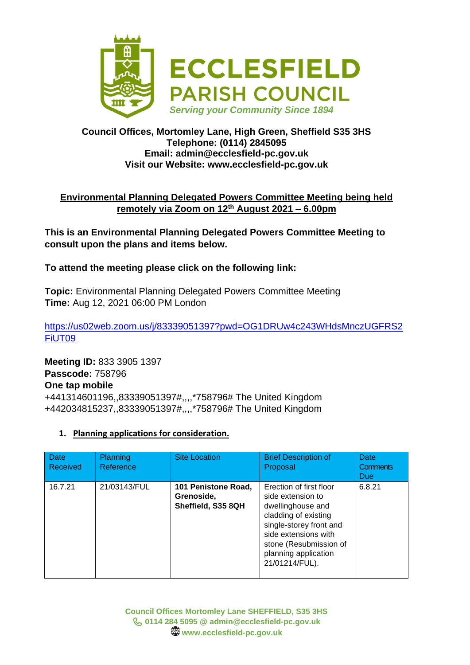

## **Council Offices, Mortomley Lane, High Green, Sheffield S35 3HS Telephone: (0114) 2845095 Email: admin@ecclesfield-pc.gov.uk Visit our Website: www.ecclesfield-pc.gov.uk**

# **Environmental Planning Delegated Powers Committee Meeting being held remotely via Zoom on 12th August 2021 – 6.00pm**

**This is an Environmental Planning Delegated Powers Committee Meeting to consult upon the plans and items below.** 

# **To attend the meeting please click on the following link:**

**Topic:** Environmental Planning Delegated Powers Committee Meeting **Time:** Aug 12, 2021 06:00 PM London

[https://us02web.zoom.us/j/83339051397?pwd=OG1DRUw4c243WHdsMnczUGFRS2](https://us02web.zoom.us/j/83339051397?pwd=OG1DRUw4c243WHdsMnczUGFRS2FiUT09) [FiUT09](https://us02web.zoom.us/j/83339051397?pwd=OG1DRUw4c243WHdsMnczUGFRS2FiUT09)

**Meeting ID:** 833 3905 1397 **Passcode:** 758796 **One tap mobile** +441314601196,,83339051397#,,,,\*758796# The United Kingdom +442034815237,,83339051397#,,,,\*758796# The United Kingdom

#### **1. Planning applications for consideration.**

| Date<br>Received | <b>Planning</b><br>Reference | <b>Site Location</b>                                    | <b>Brief Description of</b><br>Proposal                                                                                                                                                                          | Date<br><b>Comments</b><br>Due |
|------------------|------------------------------|---------------------------------------------------------|------------------------------------------------------------------------------------------------------------------------------------------------------------------------------------------------------------------|--------------------------------|
| 16.7.21          | 21/03143/FUL                 | 101 Penistone Road,<br>Grenoside,<br>Sheffield, S35 8QH | Erection of first floor<br>side extension to<br>dwellinghouse and<br>cladding of existing<br>single-storey front and<br>side extensions with<br>stone (Resubmission of<br>planning application<br>21/01214/FUL). | 6.8.21                         |

**Council Offices Mortomley Lane SHEFFIELD, S35 3HS 0114 284 5095 @ admin@ecclesfield-pc.gov.uk www.ecclesfield-pc.gov.uk**